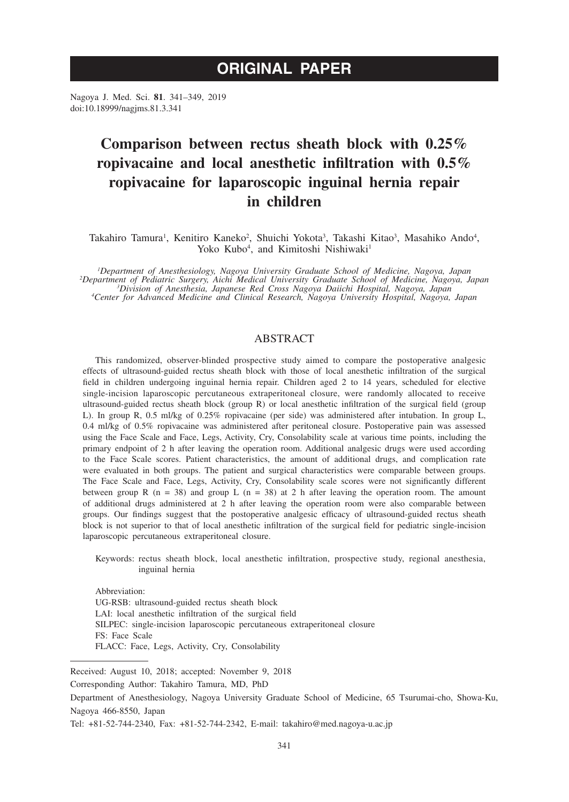# **ORIGINAL PAPER**

Nagoya J. Med. Sci. **81**. 341–349, 2019 doi:10.18999/nagjms.81.3.341

# **Comparison between rectus sheath block with 0.25% ropivacaine and local anesthetic infiltration with 0.5% ropivacaine for laparoscopic inguinal hernia repair in children**

Takahiro Tamura<sup>1</sup>, Kenitiro Kaneko<sup>2</sup>, Shuichi Yokota<sup>3</sup>, Takashi Kitao<sup>3</sup>, Masahiko Ando<sup>4</sup>, Yoko Kubo<sup>4</sup>, and Kimitoshi Nishiwaki<sup>1</sup>

<sup>1</sup>Department of Anesthesiology, Nagoya University Graduate School of Medicine, Nagoya, Japan Department of Anesthesiology, Nagoya University Graduate School of Medicine, Nagoya, Japan<br>Pepartment of Pediatric Surgery, Aichi Medical University Graduate School of Medicine, Nagoya, Japan?<br>Pivision of Anesthesia, Japan *Center for Advanced Medicine and Clinical Research, Nagoya University Hospital, Nagoya, Japan*

## ABSTRACT

This randomized, observer-blinded prospective study aimed to compare the postoperative analgesic effects of ultrasound-guided rectus sheath block with those of local anesthetic infiltration of the surgical field in children undergoing inguinal hernia repair. Children aged 2 to 14 years, scheduled for elective single-incision laparoscopic percutaneous extraperitoneal closure, were randomly allocated to receive ultrasound-guided rectus sheath block (group R) or local anesthetic infiltration of the surgical field (group L). In group R, 0.5 ml/kg of 0.25% ropivacaine (per side) was administered after intubation. In group L, 0.4 ml/kg of 0.5% ropivacaine was administered after peritoneal closure. Postoperative pain was assessed using the Face Scale and Face, Legs, Activity, Cry, Consolability scale at various time points, including the primary endpoint of 2 h after leaving the operation room. Additional analgesic drugs were used according to the Face Scale scores. Patient characteristics, the amount of additional drugs, and complication rate were evaluated in both groups. The patient and surgical characteristics were comparable between groups. The Face Scale and Face, Legs, Activity, Cry, Consolability scale scores were not significantly different between group R ( $n = 38$ ) and group L ( $n = 38$ ) at 2 h after leaving the operation room. The amount of additional drugs administered at 2 h after leaving the operation room were also comparable between groups. Our findings suggest that the postoperative analgesic efficacy of ultrasound-guided rectus sheath block is not superior to that of local anesthetic infiltration of the surgical field for pediatric single-incision laparoscopic percutaneous extraperitoneal closure.

Keywords: rectus sheath block, local anesthetic infiltration, prospective study, regional anesthesia, inguinal hernia

Abbreviation: UG-RSB: ultrasound-guided rectus sheath block LAI: local anesthetic infiltration of the surgical field SILPEC: single-incision laparoscopic percutaneous extraperitoneal closure FS: Face Scale FLACC: Face, Legs, Activity, Cry, Consolability

Received: August 10, 2018; accepted: November 9, 2018

Corresponding Author: Takahiro Tamura, MD, PhD

Department of Anesthesiology, Nagoya University Graduate School of Medicine, 65 Tsurumai-cho, Showa-Ku, Nagoya 466-8550, Japan

Tel: +81-52-744-2340, Fax: +81-52-744-2342, E-mail: takahiro@med.nagoya-u.ac.jp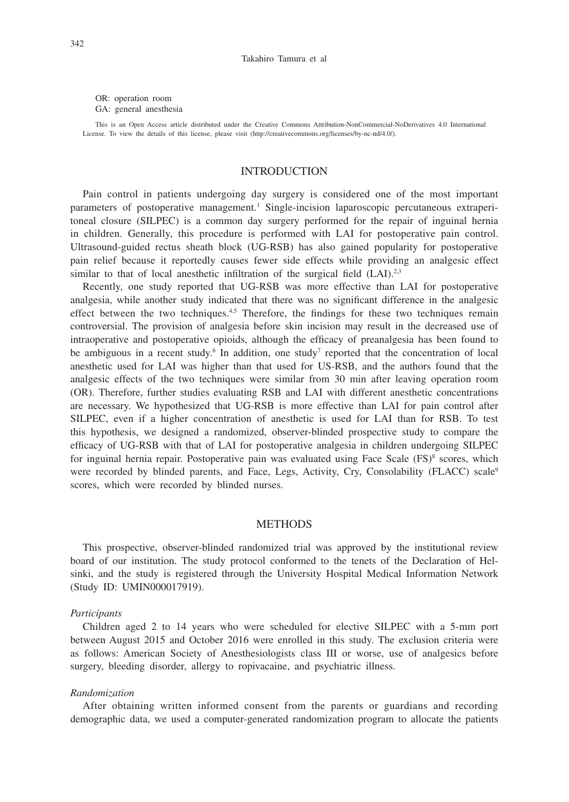OR: operation room GA: general anesthesia

This is an Open Access article distributed under the Creative Commons Attribution-NonCommercial-NoDerivatives 4.0 International License. To view the details of this license, please visit (http://creativecommons.org/licenses/by-nc-nd/4.0/).

#### INTRODUCTION

Pain control in patients undergoing day surgery is considered one of the most important parameters of postoperative management.<sup>1</sup> Single-incision laparoscopic percutaneous extraperitoneal closure (SILPEC) is a common day surgery performed for the repair of inguinal hernia in children. Generally, this procedure is performed with LAI for postoperative pain control. Ultrasound-guided rectus sheath block (UG-RSB) has also gained popularity for postoperative pain relief because it reportedly causes fewer side effects while providing an analgesic effect similar to that of local anesthetic infiltration of the surgical field (LAI).<sup>2,3</sup>

Recently, one study reported that UG-RSB was more effective than LAI for postoperative analgesia, while another study indicated that there was no significant difference in the analgesic effect between the two techniques. $4.5$  Therefore, the findings for these two techniques remain controversial. The provision of analgesia before skin incision may result in the decreased use of intraoperative and postoperative opioids, although the efficacy of preanalgesia has been found to be ambiguous in a recent study.<sup>6</sup> In addition, one study<sup>7</sup> reported that the concentration of local anesthetic used for LAI was higher than that used for US-RSB, and the authors found that the analgesic effects of the two techniques were similar from 30 min after leaving operation room (OR). Therefore, further studies evaluating RSB and LAI with different anesthetic concentrations are necessary. We hypothesized that UG-RSB is more effective than LAI for pain control after SILPEC, even if a higher concentration of anesthetic is used for LAI than for RSB. To test this hypothesis, we designed a randomized, observer-blinded prospective study to compare the efficacy of UG-RSB with that of LAI for postoperative analgesia in children undergoing SILPEC for inguinal hernia repair. Postoperative pain was evaluated using Face Scale (FS)<sup>8</sup> scores, which were recorded by blinded parents, and Face, Legs, Activity, Cry, Consolability (FLACC) scale<sup>9</sup> scores, which were recorded by blinded nurses.

## **METHODS**

This prospective, observer-blinded randomized trial was approved by the institutional review board of our institution. The study protocol conformed to the tenets of the Declaration of Helsinki, and the study is registered through the University Hospital Medical Information Network (Study ID: UMIN000017919).

#### *Participants*

Children aged 2 to 14 years who were scheduled for elective SILPEC with a 5-mm port between August 2015 and October 2016 were enrolled in this study. The exclusion criteria were as follows: American Society of Anesthesiologists class III or worse, use of analgesics before surgery, bleeding disorder, allergy to ropivacaine, and psychiatric illness.

#### *Randomization*

After obtaining written informed consent from the parents or guardians and recording demographic data, we used a computer-generated randomization program to allocate the patients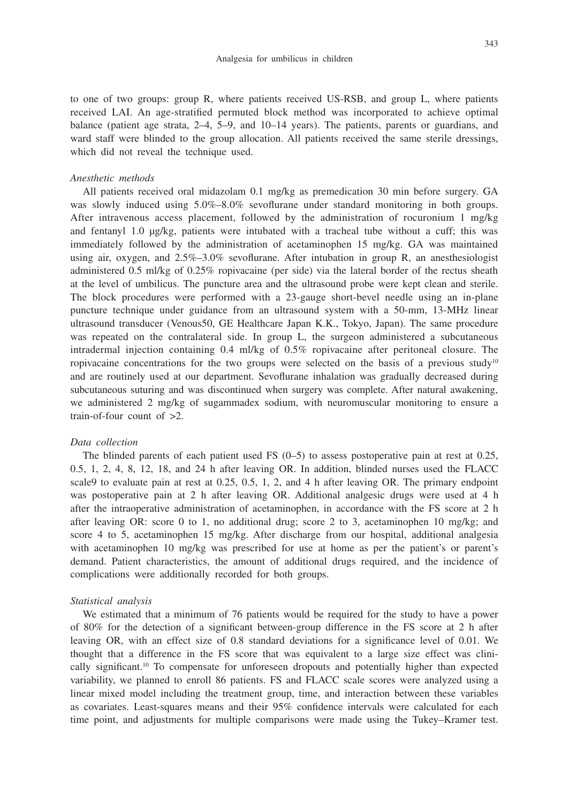to one of two groups: group R, where patients received US-RSB, and group L, where patients received LAI. An age-stratified permuted block method was incorporated to achieve optimal balance (patient age strata, 2–4, 5–9, and 10–14 years). The patients, parents or guardians, and ward staff were blinded to the group allocation. All patients received the same sterile dressings, which did not reveal the technique used.

#### *Anesthetic methods*

All patients received oral midazolam 0.1 mg/kg as premedication 30 min before surgery. GA was slowly induced using  $5.0\% - 8.0\%$  sevoflurane under standard monitoring in both groups. After intravenous access placement, followed by the administration of rocuronium 1 mg/kg and fentanyl 1.0 μg/kg, patients were intubated with a tracheal tube without a cuff; this was immediately followed by the administration of acetaminophen 15 mg/kg. GA was maintained using air, oxygen, and 2.5%–3.0% sevoflurane. After intubation in group R, an anesthesiologist administered 0.5 ml/kg of 0.25% ropivacaine (per side) via the lateral border of the rectus sheath at the level of umbilicus. The puncture area and the ultrasound probe were kept clean and sterile. The block procedures were performed with a 23-gauge short-bevel needle using an in-plane puncture technique under guidance from an ultrasound system with a 50-mm, 13-MHz linear ultrasound transducer (Venous50, GE Healthcare Japan K.K., Tokyo, Japan). The same procedure was repeated on the contralateral side. In group L, the surgeon administered a subcutaneous intradermal injection containing 0.4 ml/kg of 0.5% ropivacaine after peritoneal closure. The ropivacaine concentrations for the two groups were selected on the basis of a previous study<sup>10</sup> and are routinely used at our department. Sevoflurane inhalation was gradually decreased during subcutaneous suturing and was discontinued when surgery was complete. After natural awakening, we administered 2 mg/kg of sugammadex sodium, with neuromuscular monitoring to ensure a train-of-four count of  $\geq 2$ .

### *Data collection*

The blinded parents of each patient used FS (0–5) to assess postoperative pain at rest at 0.25, 0.5, 1, 2, 4, 8, 12, 18, and 24 h after leaving OR. In addition, blinded nurses used the FLACC scale9 to evaluate pain at rest at 0.25, 0.5, 1, 2, and 4 h after leaving OR. The primary endpoint was postoperative pain at 2 h after leaving OR. Additional analgesic drugs were used at 4 h after the intraoperative administration of acetaminophen, in accordance with the FS score at 2 h after leaving OR: score 0 to 1, no additional drug; score 2 to 3, acetaminophen 10 mg/kg; and score 4 to 5, acetaminophen 15 mg/kg. After discharge from our hospital, additional analgesia with acetaminophen 10 mg/kg was prescribed for use at home as per the patient's or parent's demand. Patient characteristics, the amount of additional drugs required, and the incidence of complications were additionally recorded for both groups.

#### *Statistical analysis*

We estimated that a minimum of 76 patients would be required for the study to have a power of 80% for the detection of a significant between-group difference in the FS score at 2 h after leaving OR, with an effect size of 0.8 standard deviations for a significance level of 0.01. We thought that a difference in the FS score that was equivalent to a large size effect was clinically significant.<sup>10</sup> To compensate for unforeseen dropouts and potentially higher than expected variability, we planned to enroll 86 patients. FS and FLACC scale scores were analyzed using a linear mixed model including the treatment group, time, and interaction between these variables as covariates. Least-squares means and their 95% confidence intervals were calculated for each time point, and adjustments for multiple comparisons were made using the Tukey–Kramer test.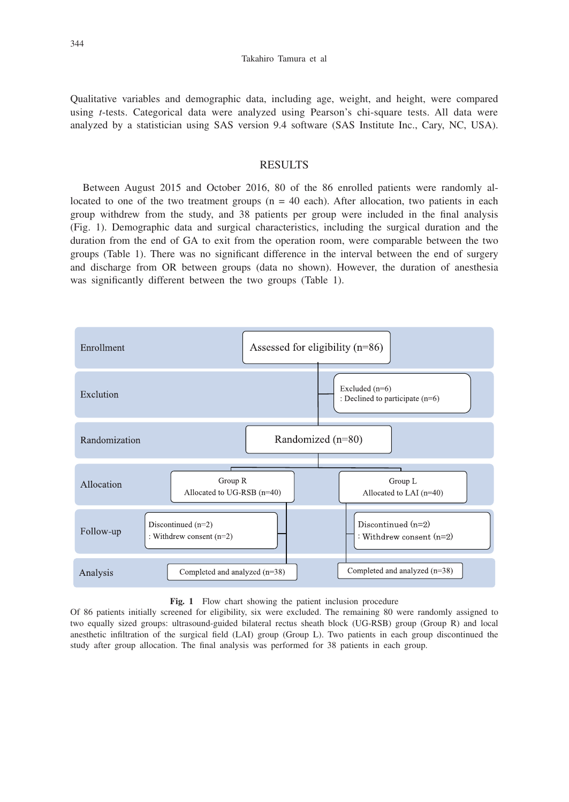Qualitative variables and demographic data, including age, weight, and height, were compared using *t*-tests. Categorical data were analyzed using Pearson's chi-square tests. All data were analyzed by a statistician using SAS version 9.4 software (SAS Institute Inc., Cary, NC, USA).

## RESULTS

Between August 2015 and October 2016, 80 of the 86 enrolled patients were randomly allocated to one of the two treatment groups  $(n = 40 \text{ each})$ . After allocation, two patients in each group withdrew from the study, and 38 patients per group were included in the final analysis (Fig. 1). Demographic data and surgical characteristics, including the surgical duration and the duration from the end of GA to exit from the operation room, were comparable between the two groups (Table 1). There was no significant difference in the interval between the end of surgery and discharge from OR between groups (data no shown). However, the duration of anesthesia was significantly different between the two groups (Table 1).



Fig. 1 Flow chart showing the patient inclusion procedure

Of 86 patients initially screened for eligibility, six were excluded. The remaining 80 were randomly assigned to two equally sized groups: ultrasound-guided bilateral rectus sheath block (UG-RSB) group (Group R) and local anesthetic infiltration of the surgical field (LAI) group (Group L). Two patients in each group discontinued the study after group allocation. The final analysis was performed for 38 patients in each group.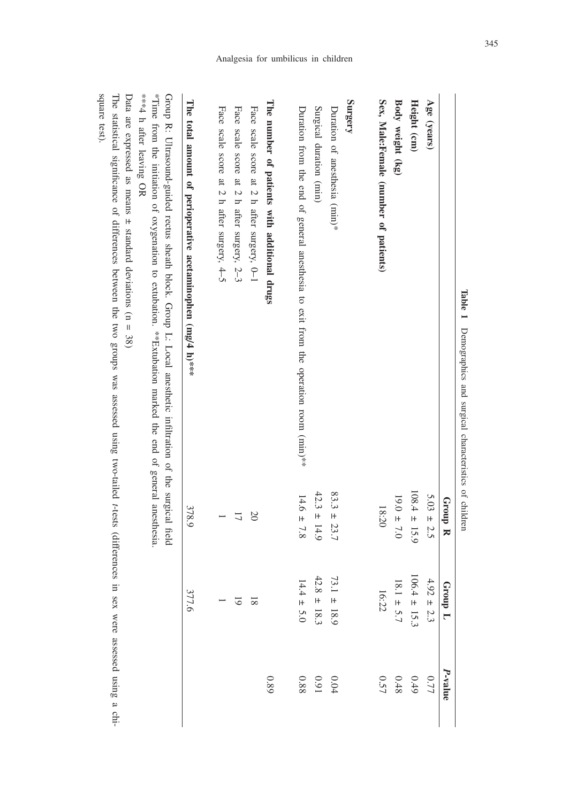| Table 1<br>Demographics and surgical characteristics of children                                                                                                                                                                                       |                  |                  |                                   |
|--------------------------------------------------------------------------------------------------------------------------------------------------------------------------------------------------------------------------------------------------------|------------------|------------------|-----------------------------------|
|                                                                                                                                                                                                                                                        | Group R          | Group L          | <i>P</i> -value                   |
| Age (years)                                                                                                                                                                                                                                            | $5.03 \pm 2.5$   | $1.92 \pm 2.3$   | 0.77                              |
| Height (cm)                                                                                                                                                                                                                                            | $108.4 \pm 15.9$ | $106.4 \pm 15.3$ | $6+0$                             |
| Body weight (kg)                                                                                                                                                                                                                                       | $19.0 \pm 7.0$   | $18.1 \pm 5.7$   | $0.48\,$                          |
| Sex, Male:Female (number of patients)                                                                                                                                                                                                                  | 18:20            | 16:22            | 0.57                              |
| Surgery                                                                                                                                                                                                                                                |                  |                  |                                   |
| Duration of anesthesia (min)*                                                                                                                                                                                                                          | $83.3 \pm 23.7$  | $73.1 \pm 18.9$  | $0.04\,$                          |
| Surgical duration (min)                                                                                                                                                                                                                                | $42.3 \pm 14.9$  | $42.8 \pm 18.3$  | $0.91\,$                          |
| Duration from the end of general anesthesia to exit from the operation room $(\min)**$                                                                                                                                                                 | $14.6 \pm 7.8$   | $4.4 \pm 5.0$    | 0.88                              |
| The number of patients with additional drugs                                                                                                                                                                                                           |                  |                  | 0.89                              |
| Face scale score at 2 h after surgery, 0-1                                                                                                                                                                                                             | $\infty$         | $\overline{8}$   |                                   |
| Face scale score at 2 h after surgery, 2-3                                                                                                                                                                                                             | $\overline{L}$   | 5                |                                   |
| Face scale score at 2 h after surgery, $4-5$                                                                                                                                                                                                           |                  |                  |                                   |
| The total amount of perioperative acetaminophen $(mg/4 h)^{***}$                                                                                                                                                                                       | 378.9            | 377.6            |                                   |
| "Timus tion the initiation of oxygenation marked the end of general anestial and interactional strimus time<br>***4 h after leaving OR<br>Group R: Ultrasound-grided rectus stream block. Group I: Local anesthetic infiltration of the surgical field |                  |                  |                                   |
| The statistical significanal of differences between the two groups was assessed using two-tailed t-tests (differences<br>Data are expressed as means $\pm$ standard deviations (n = 38)                                                                |                  |                  | in sex were assessed using a chi- |
|                                                                                                                                                                                                                                                        |                  |                  |                                   |

Analgesia for umbilicus in children

square test). square test).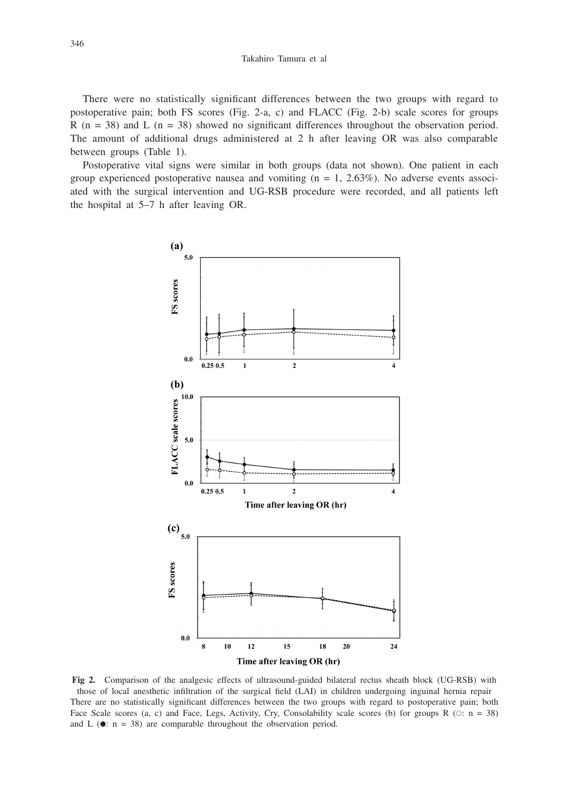Takahiro Tamura et al

There were no statistically significant differences between the two groups with regard to postoperative pain; both FS scores (Fig. 2-a, c) and FLACC (Fig. 2-b) scale scores for groups R (n = 38) and L (n = 38) showed no significant differences throughout the observation period. The amount of additional drugs administered at 2 h after leaving OR was also comparable between groups (Table 1).

Postoperative vital signs were similar in both groups (data not shown). One patient in each group experienced postoperative nausea and vomiting  $(n = 1, 2.63\%)$ . No adverse events associated with the surgical intervention and UG-RSB procedure were recorded, and all patients left the hospital at 5–7 h after leaving OR.



**Fig 2.** Comparison of the analgesic effects of ultrasound-guided bilateral rectus sheath block (UG-RSB) with those of local anesthetic infiltration of the surgical field (LAI) in children undergoing inguinal hernia repair There are no statistically significant differences between the two groups with regard to postoperative pain; both Face Scale scores (a, c) and Face, Legs, Activity, Cry, Consolability scale scores (b) for groups R ( $\circ$ : n = 38) and L ( $\bullet$ : n = 38) are comparable throughout the observation period.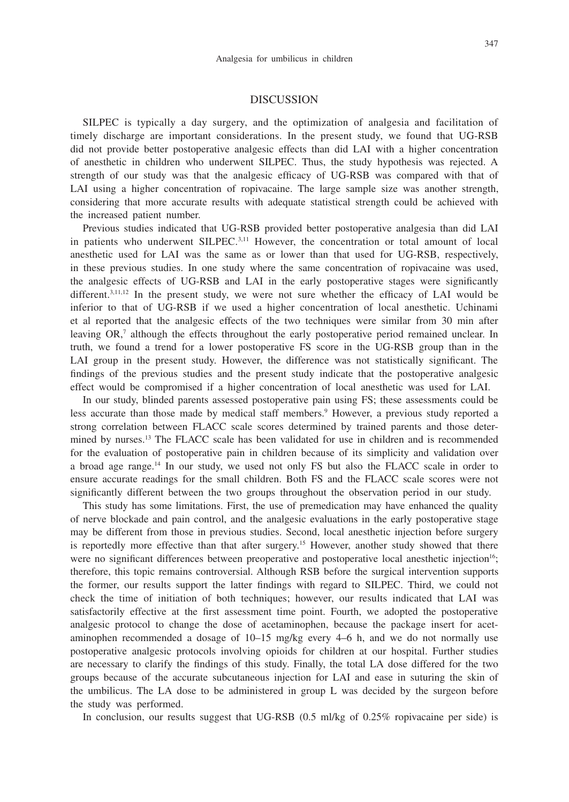#### DISCUSSION

SILPEC is typically a day surgery, and the optimization of analgesia and facilitation of timely discharge are important considerations. In the present study, we found that UG-RSB did not provide better postoperative analgesic effects than did LAI with a higher concentration of anesthetic in children who underwent SILPEC. Thus, the study hypothesis was rejected. A strength of our study was that the analgesic efficacy of UG-RSB was compared with that of LAI using a higher concentration of ropivacaine. The large sample size was another strength, considering that more accurate results with adequate statistical strength could be achieved with the increased patient number.

Previous studies indicated that UG-RSB provided better postoperative analgesia than did LAI in patients who underwent SILPEC.<sup>3,11</sup> However, the concentration or total amount of local anesthetic used for LAI was the same as or lower than that used for UG-RSB, respectively, in these previous studies. In one study where the same concentration of ropivacaine was used, the analgesic effects of UG-RSB and LAI in the early postoperative stages were significantly different.<sup>3,11,12</sup> In the present study, we were not sure whether the efficacy of LAI would be inferior to that of UG-RSB if we used a higher concentration of local anesthetic. Uchinami et al reported that the analgesic effects of the two techniques were similar from 30 min after leaving OR,<sup>7</sup> although the effects throughout the early postoperative period remained unclear. In truth, we found a trend for a lower postoperative FS score in the UG-RSB group than in the LAI group in the present study. However, the difference was not statistically significant. The findings of the previous studies and the present study indicate that the postoperative analgesic effect would be compromised if a higher concentration of local anesthetic was used for LAI.

In our study, blinded parents assessed postoperative pain using FS; these assessments could be less accurate than those made by medical staff members.<sup>9</sup> However, a previous study reported a strong correlation between FLACC scale scores determined by trained parents and those determined by nurses.13 The FLACC scale has been validated for use in children and is recommended for the evaluation of postoperative pain in children because of its simplicity and validation over a broad age range.14 In our study, we used not only FS but also the FLACC scale in order to ensure accurate readings for the small children. Both FS and the FLACC scale scores were not significantly different between the two groups throughout the observation period in our study.

This study has some limitations. First, the use of premedication may have enhanced the quality of nerve blockade and pain control, and the analgesic evaluations in the early postoperative stage may be different from those in previous studies. Second, local anesthetic injection before surgery is reportedly more effective than that after surgery.<sup>15</sup> However, another study showed that there were no significant differences between preoperative and postoperative local anesthetic injection<sup>16</sup>; therefore, this topic remains controversial. Although RSB before the surgical intervention supports the former, our results support the latter findings with regard to SILPEC. Third, we could not check the time of initiation of both techniques; however, our results indicated that LAI was satisfactorily effective at the first assessment time point. Fourth, we adopted the postoperative analgesic protocol to change the dose of acetaminophen, because the package insert for acetaminophen recommended a dosage of 10–15 mg/kg every 4–6 h, and we do not normally use postoperative analgesic protocols involving opioids for children at our hospital. Further studies are necessary to clarify the findings of this study. Finally, the total LA dose differed for the two groups because of the accurate subcutaneous injection for LAI and ease in suturing the skin of the umbilicus. The LA dose to be administered in group L was decided by the surgeon before the study was performed.

In conclusion, our results suggest that UG-RSB (0.5 ml/kg of 0.25% ropivacaine per side) is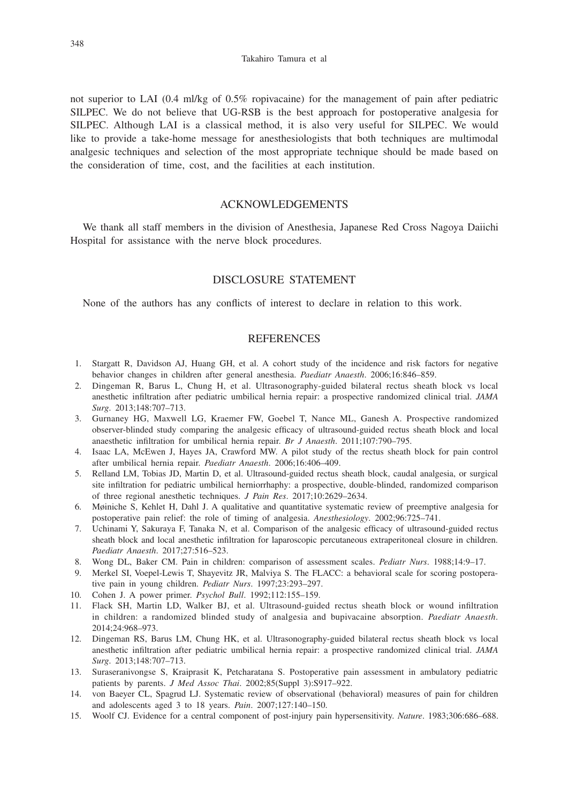not superior to LAI (0.4 ml/kg of 0.5% ropivacaine) for the management of pain after pediatric SILPEC. We do not believe that UG-RSB is the best approach for postoperative analgesia for SILPEC. Although LAI is a classical method, it is also very useful for SILPEC. We would like to provide a take-home message for anesthesiologists that both techniques are multimodal analgesic techniques and selection of the most appropriate technique should be made based on the consideration of time, cost, and the facilities at each institution.

### ACKNOWLEDGEMENTS

We thank all staff members in the division of Anesthesia, Japanese Red Cross Nagoya Daiichi Hospital for assistance with the nerve block procedures.

## DISCLOSURE STATEMENT

None of the authors has any conflicts of interest to declare in relation to this work.

#### **REFERENCES**

- 1. Stargatt R, Davidson AJ, Huang GH, et al. A cohort study of the incidence and risk factors for negative behavior changes in children after general anesthesia. *Paediatr Anaesth*. 2006;16:846–859.
- 2. Dingeman R, Barus L, Chung H, et al. Ultrasonography-guided bilateral rectus sheath block vs local anesthetic infiltration after pediatric umbilical hernia repair: a prospective randomized clinical trial. *JAMA Surg*. 2013;148:707–713.
- 3. Gurnaney HG, Maxwell LG, Kraemer FW, Goebel T, Nance ML, Ganesh A. Prospective randomized observer-blinded study comparing the analgesic efficacy of ultrasound-guided rectus sheath block and local anaesthetic infiltration for umbilical hernia repair. *Br J Anaesth*. 2011;107:790–795.
- 4. Isaac LA, McEwen J, Hayes JA, Crawford MW. A pilot study of the rectus sheath block for pain control after umbilical hernia repair. *Paediatr Anaesth*. 2006;16:406–409.
- 5. Relland LM, Tobias JD, Martin D, et al. Ultrasound-guided rectus sheath block, caudal analgesia, or surgical site infiltration for pediatric umbilical herniorrhaphy: a prospective, double-blinded, randomized comparison of three regional anesthetic techniques. *J Pain Res*. 2017;10:2629–2634.
- 6. Møiniche S, Kehlet H, Dahl J. A qualitative and quantitative systematic review of preemptive analgesia for postoperative pain relief: the role of timing of analgesia. *Anesthesiology*. 2002;96:725–741.
- 7. Uchinami Y, Sakuraya F, Tanaka N, et al. Comparison of the analgesic efficacy of ultrasound-guided rectus sheath block and local anesthetic infiltration for laparoscopic percutaneous extraperitoneal closure in children. *Paediatr Anaesth*. 2017;27:516–523.
- 8. Wong DL, Baker CM. Pain in children: comparison of assessment scales. *Pediatr Nurs*. 1988;14:9–17.
- 9. Merkel SI, Voepel-Lewis T, Shayevitz JR, Malviya S. The FLACC: a behavioral scale for scoring postoperative pain in young children. *Pediatr Nurs*. 1997;23:293–297.
- 10. Cohen J. A power primer. *Psychol Bull*. 1992;112:155–159.
- 11. Flack SH, Martin LD, Walker BJ, et al. Ultrasound-guided rectus sheath block or wound infiltration in children: a randomized blinded study of analgesia and bupivacaine absorption. *Paediatr Anaesth*. 2014;24:968–973.
- 12. Dingeman RS, Barus LM, Chung HK, et al. Ultrasonography-guided bilateral rectus sheath block vs local anesthetic infiltration after pediatric umbilical hernia repair: a prospective randomized clinical trial. *JAMA Surg*. 2013;148:707–713.
- 13. Suraseranivongse S, Kraiprasit K, Petcharatana S. Postoperative pain assessment in ambulatory pediatric patients by parents. *J Med Assoc Thai*. 2002;85(Suppl 3):S917–922.
- 14. von Baeyer CL, Spagrud LJ. Systematic review of observational (behavioral) measures of pain for children and adolescents aged 3 to 18 years. *Pain*. 2007;127:140–150.
- 15. Woolf CJ. Evidence for a central component of post-injury pain hypersensitivity. *Nature*. 1983;306:686–688.